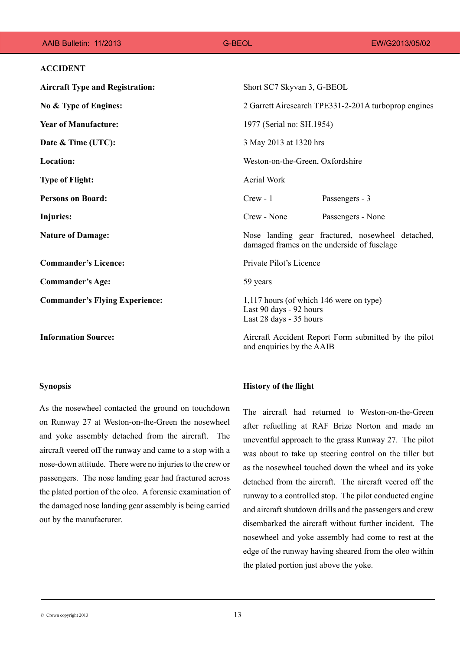| AAIB Bulletin: 11/2013                 | <b>G-BEOL</b><br>EW/G2013/05/02                                                               |                                                      |  |
|----------------------------------------|-----------------------------------------------------------------------------------------------|------------------------------------------------------|--|
| <b>ACCIDENT</b>                        |                                                                                               |                                                      |  |
| <b>Aircraft Type and Registration:</b> | Short SC7 Skyvan 3, G-BEOL                                                                    |                                                      |  |
| No & Type of Engines:                  |                                                                                               | 2 Garrett Airesearch TPE331-2-201A turboprop engines |  |
| <b>Year of Manufacture:</b>            | 1977 (Serial no: SH.1954)                                                                     |                                                      |  |
| Date & Time (UTC):                     | 3 May 2013 at 1320 hrs                                                                        |                                                      |  |
| Location:                              | Weston-on-the-Green, Oxfordshire                                                              |                                                      |  |
| <b>Type of Flight:</b>                 | Aerial Work                                                                                   |                                                      |  |
| <b>Persons on Board:</b>               | Passengers - 3<br>$Crew - 1$                                                                  |                                                      |  |
| Injuries:                              | Crew - None<br>Passengers - None                                                              |                                                      |  |
| <b>Nature of Damage:</b>               | damaged frames on the underside of fuselage                                                   | Nose landing gear fractured, nosewheel detached,     |  |
| <b>Commander's Licence:</b>            | Private Pilot's Licence                                                                       |                                                      |  |
| <b>Commander's Age:</b>                | 59 years                                                                                      |                                                      |  |
| <b>Commander's Flying Experience:</b>  | 1,117 hours (of which 146 were on type)<br>Last 90 days - 92 hours<br>Last 28 days - 35 hours |                                                      |  |
| <b>Information Source:</b>             | Aircraft Accident Report Form submitted by the pilot<br>and enquiries by the AAIB             |                                                      |  |

### **Synopsis**

As the nosewheel contacted the ground on touchdown on Runway 27 at Weston-on-the-Green the nosewheel and yoke assembly detached from the aircraft. The aircraft veered off the runway and came to a stop with a nose-down attitude. There were no injuries to the crew or passengers. The nose landing gear had fractured across the plated portion of the oleo. A forensic examination of the damaged nose landing gear assembly is being carried out by the manufacturer.

# **History of the flight**

The aircraft had returned to Weston-on-the-Green after refuelling at RAF Brize Norton and made an uneventful approach to the grass Runway 27. The pilot was about to take up steering control on the tiller but as the nosewheel touched down the wheel and its yoke detached from the aircraft. The aircraft veered off the runway to a controlled stop. The pilot conducted engine and aircraft shutdown drills and the passengers and crew disembarked the aircraft without further incident. The nosewheel and yoke assembly had come to rest at the edge of the runway having sheared from the oleo within the plated portion just above the yoke.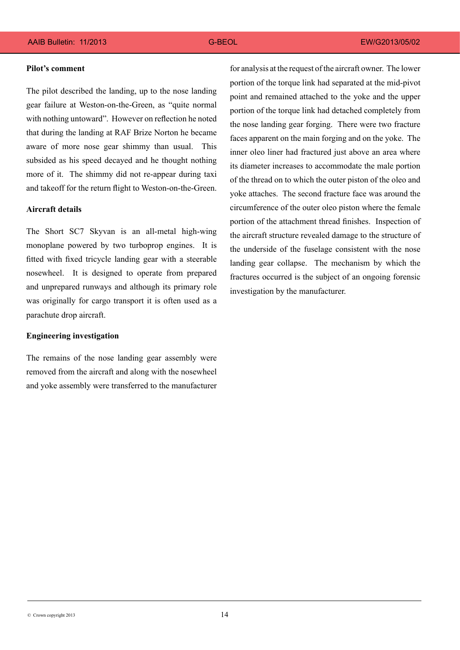#### **Pilot's comment**

The pilot described the landing, up to the nose landing gear failure at Weston-on-the-Green, as "quite normal with nothing untoward". However on reflection he noted that during the landing at RAF Brize Norton he became aware of more nose gear shimmy than usual. This subsided as his speed decayed and he thought nothing more of it. The shimmy did not re-appear during taxi and takeoff for the return flight to Weston-on-the-Green.

### **Aircraft details**

The Short SC7 Skyvan is an all-metal high-wing monoplane powered by two turboprop engines. It is fitted with fixed tricycle landing gear with a steerable nosewheel. It is designed to operate from prepared and unprepared runways and although its primary role was originally for cargo transport it is often used as a parachute drop aircraft.

### **Engineering investigation**

The remains of the nose landing gear assembly were removed from the aircraft and along with the nosewheel and yoke assembly were transferred to the manufacturer for analysis at the request of the aircraft owner. The lower portion of the torque link had separated at the mid-pivot point and remained attached to the yoke and the upper portion of the torque link had detached completely from the nose landing gear forging. There were two fracture faces apparent on the main forging and on the yoke. The inner oleo liner had fractured just above an area where its diameter increases to accommodate the male portion of the thread on to which the outer piston of the oleo and yoke attaches. The second fracture face was around the circumference of the outer oleo piston where the female portion of the attachment thread finishes. Inspection of the aircraft structure revealed damage to the structure of the underside of the fuselage consistent with the nose landing gear collapse. The mechanism by which the fractures occurred is the subject of an ongoing forensic investigation by the manufacturer.